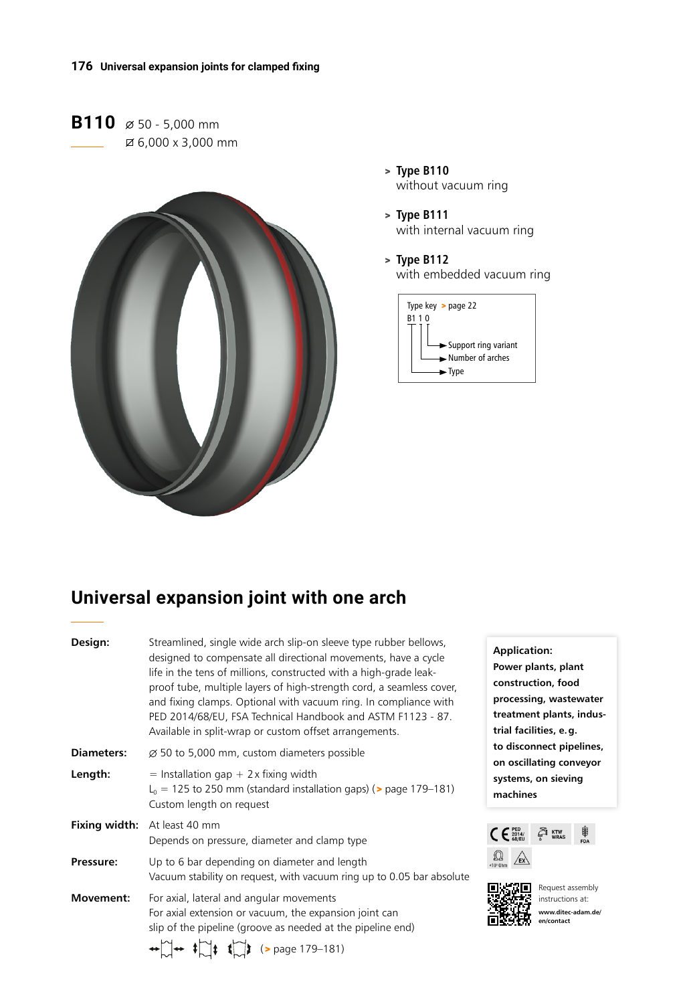**B110**  $\emptyset$  50 - 5,000 mm 6,000 x 3,000 mm



- > **Type B110** without vacuum ring
- > **Type B111** with internal vacuum ring
- > **Type B112** with embedded vacuum ring



# **Universal expansion joint with one arch**

| Design:           | Streamlined, single wide arch slip-on sleeve type rubber bellows,<br>designed to compensate all directional movements, have a cycle<br>life in the tens of millions, constructed with a high-grade leak-<br>proof tube, multiple layers of high-strength cord, a seamless cover,<br>and fixing clamps. Optional with vacuum ring. In compliance with<br>PED 2014/68/EU, FSA Technical Handbook and ASTM F1123 - 87.<br>Available in split-wrap or custom offset arrangements. |
|-------------------|-------------------------------------------------------------------------------------------------------------------------------------------------------------------------------------------------------------------------------------------------------------------------------------------------------------------------------------------------------------------------------------------------------------------------------------------------------------------------------|
| <b>Diameters:</b> | $\varnothing$ 50 to 5,000 mm, custom diameters possible                                                                                                                                                                                                                                                                                                                                                                                                                       |
| Length:           | $=$ Installation gap + 2 x fixing width<br>$L_0$ = 125 to 250 mm (standard installation gaps) ( $>$ page 179–181)<br>Custom length on request                                                                                                                                                                                                                                                                                                                                 |
|                   | Fixing width: At least 40 mm<br>Depends on pressure, diameter and clamp type                                                                                                                                                                                                                                                                                                                                                                                                  |
| Pressure:         | Up to 6 bar depending on diameter and length<br>Vacuum stability on request, with vacuum ring up to 0.05 bar absolute                                                                                                                                                                                                                                                                                                                                                         |
| Movement:         | For axial, lateral and angular movements<br>For axial extension or vacuum, the expansion joint can<br>slip of the pipeline (groove as needed at the pipeline end)<br>$\leftrightarrow$ $\rightarrow$ $\uparrow$ $\rightarrow$ $\uparrow$ $\downarrow$ $\downarrow$ $\downarrow$ (> page 179–181)                                                                                                                                                                              |

**Application: Power plants, plant construction, food processing, wastewater treatment plants, industrial facilities, e.g. to disconnect pipelines, on oscillating conveyor systems, on sieving machines** 





**回出加口** Request assembly instructions at: **www.ditec-adam.de/ en/contact**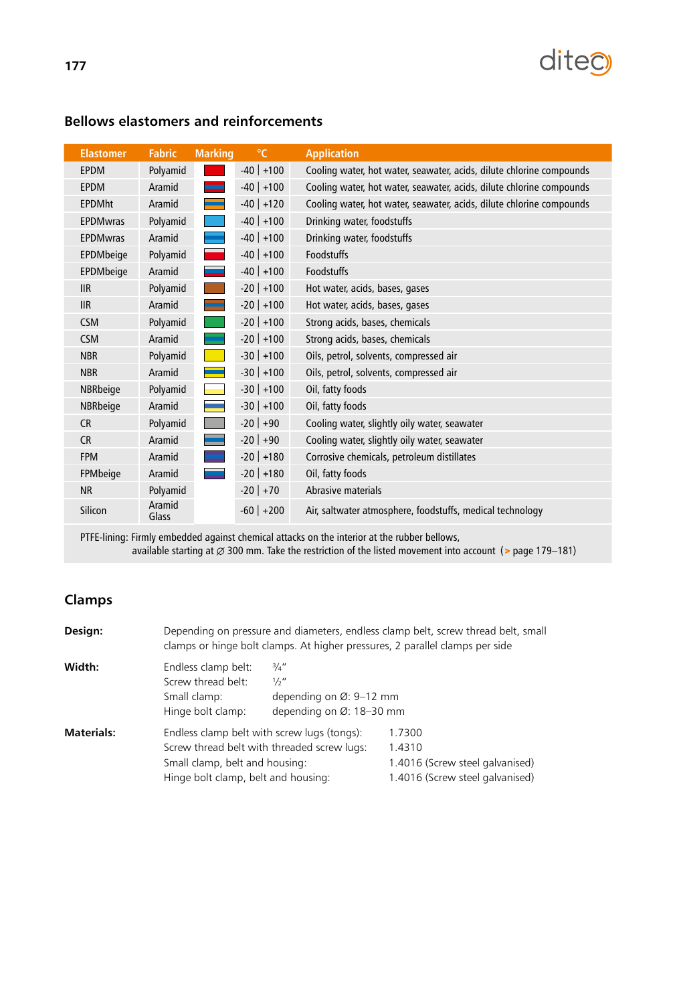

| <b>Elastomer</b> | <b>Fabric</b>   | <b>Marking</b> | $\mathrm{C}$ | <b>Application</b>                                                   |
|------------------|-----------------|----------------|--------------|----------------------------------------------------------------------|
| <b>EPDM</b>      | Polyamid        |                | $-40$ +100   | Cooling water, hot water, seawater, acids, dilute chlorine compounds |
| <b>EPDM</b>      | Aramid          |                | $-40$ +100   | Cooling water, hot water, seawater, acids, dilute chlorine compounds |
| <b>EPDMht</b>    | Aramid          |                | $-40$ +120   | Cooling water, hot water, seawater, acids, dilute chlorine compounds |
| <b>EPDMwras</b>  | Polyamid        |                | $-40$ +100   | Drinking water, foodstuffs                                           |
| <b>EPDMwras</b>  | Aramid          |                | $-40$ +100   | Drinking water, foodstuffs                                           |
| EPDMbeige        | Polyamid        |                | $-40$ +100   | <b>Foodstuffs</b>                                                    |
| EPDMbeige        | Aramid          |                | $-40$ +100   | Foodstuffs                                                           |
| <b>IIR</b>       | Polyamid        |                | $-20$ +100   | Hot water, acids, bases, gases                                       |
| IIR              | Aramid          |                | $-20$ +100   | Hot water, acids, bases, gases                                       |
| <b>CSM</b>       | Polyamid        |                | $-20$ +100   | Strong acids, bases, chemicals                                       |
| <b>CSM</b>       | Aramid          |                | $-20$ +100   | Strong acids, bases, chemicals                                       |
| <b>NBR</b>       | Polyamid        |                | $-30$ +100   | Oils, petrol, solvents, compressed air                               |
| <b>NBR</b>       | Aramid          |                | $-30$ +100   | Oils, petrol, solvents, compressed air                               |
| NBRbeige         | Polyamid        |                | $-30$ +100   | Oil, fatty foods                                                     |
| NBRbeige         | Aramid          |                | $-30$ +100   | Oil, fatty foods                                                     |
| <b>CR</b>        | Polyamid        |                | $-20$ +90    | Cooling water, slightly oily water, seawater                         |
| <b>CR</b>        | Aramid          |                | $-20$ +90    | Cooling water, slightly oily water, seawater                         |
| <b>FPM</b>       | Aramid          |                | $-20$ +180   | Corrosive chemicals, petroleum distillates                           |
| FPMbeige         | Aramid          |                | $-20$ +180   | Oil, fatty foods                                                     |
| <b>NR</b>        | Polyamid        |                | $-20$ +70    | Abrasive materials                                                   |
| Silicon          | Aramid<br>Glass |                | $-60$ +200   | Air, saltwater atmosphere, foodstuffs, medical technology            |

### **Bellows elastomers and reinforcements**

PTFE-lining: Firmly embedded against chemical attacks on the interior at the rubber bellows, available starting at  $\varnothing$  300 mm. Take the restriction of the listed movement into account (> page 179–181)

### **Clamps**

| Depending on pressure and diameters, endless clamp belt, screw thread belt, small<br>Design:<br>clamps or hinge bolt clamps. At higher pressures, 2 parallel clamps per side |                                                                                                                                                                     |                                                                                 |                                                                                        |  |  |  |  |
|------------------------------------------------------------------------------------------------------------------------------------------------------------------------------|---------------------------------------------------------------------------------------------------------------------------------------------------------------------|---------------------------------------------------------------------------------|----------------------------------------------------------------------------------------|--|--|--|--|
| Width:                                                                                                                                                                       | Endless clamp belt:<br>Screw thread belt:<br>Small clamp:<br>Hinge bolt clamp:                                                                                      | 3/4''<br>$\frac{1}{2}$ "<br>depending on Ø: 9-12 mm<br>depending on Ø: 18-30 mm |                                                                                        |  |  |  |  |
| <b>Materials:</b>                                                                                                                                                            | Endless clamp belt with screw lugs (tongs):<br>Screw thread belt with threaded screw lugs:<br>Small clamp, belt and housing:<br>Hinge bolt clamp, belt and housing: |                                                                                 | 1.7300<br>1.4310<br>1.4016 (Screw steel galvanised)<br>1.4016 (Screw steel galvanised) |  |  |  |  |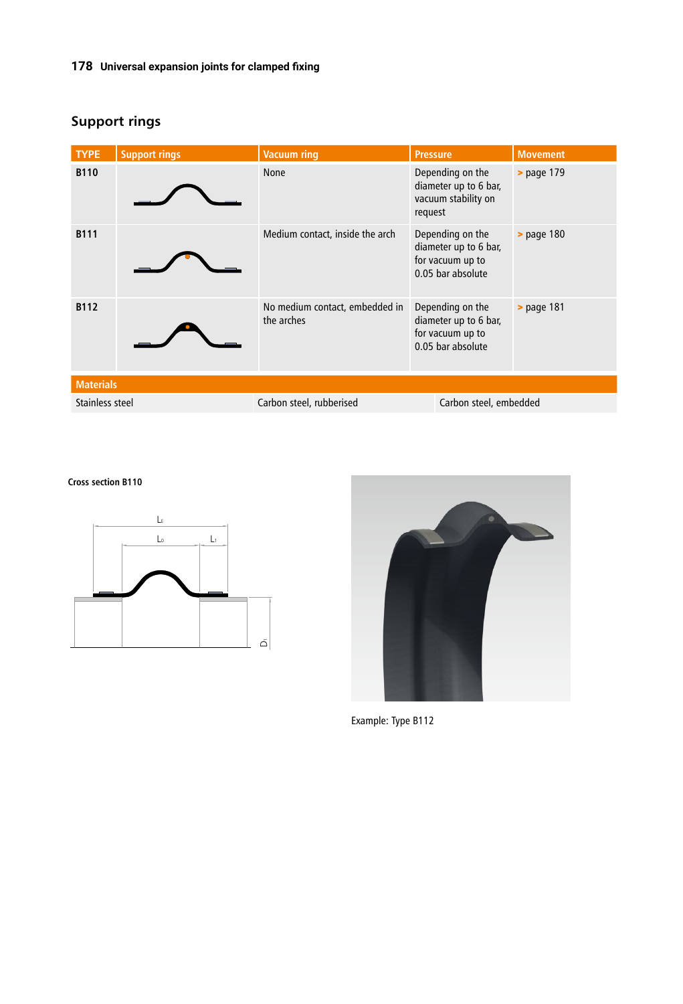### **178 Universal expansion joints for clamped fixing**

| <b>TYPE</b>      | <b>Support rings</b> | <b>Vacuum ring</b>                           | <b>Pressure</b>                                                                    | <b>Movement</b>        |  |  |  |
|------------------|----------------------|----------------------------------------------|------------------------------------------------------------------------------------|------------------------|--|--|--|
| <b>B110</b>      |                      | <b>None</b>                                  | Depending on the<br>diameter up to 6 bar,<br>vacuum stability on<br>request        | > page 179             |  |  |  |
| <b>B111</b>      |                      | Medium contact, inside the arch              | Depending on the<br>diameter up to 6 bar,<br>for vacuum up to<br>0.05 bar absolute | > page 180             |  |  |  |
| B112             |                      | No medium contact, embedded in<br>the arches | Depending on the<br>diameter up to 6 bar,<br>for vacuum up to<br>0.05 bar absolute | > page 181             |  |  |  |
| <b>Materials</b> |                      |                                              |                                                                                    |                        |  |  |  |
| Stainless steel  |                      | Carbon steel, rubberised                     |                                                                                    | Carbon steel, embedded |  |  |  |

## **Support rings**

**Cross section B110**





Example: Type B112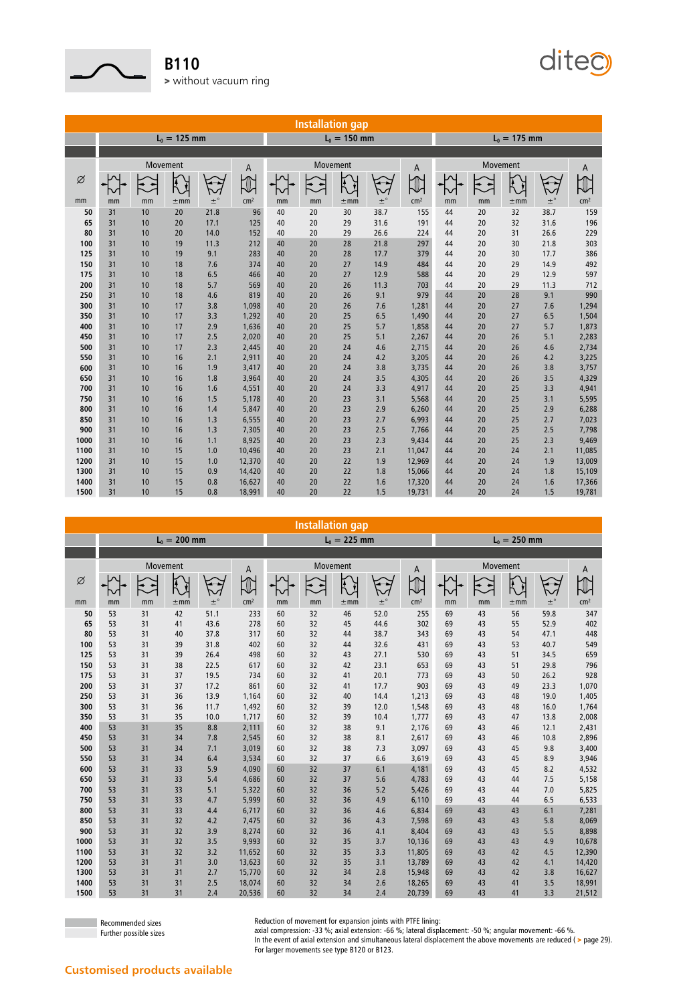

**B110** > without vacuum ring

**Installation gap**  $L_0 = 125$  mm  $L_0 = 150$  mm  $L_0 = 175$  mm Movement A Movement A Movement A Movement A Movement A Ø Q  $\mathcal{E}$  $\sum_{i=1}^{n}$  $\widetilde{K}$  $\mathcal{L}$  $\overline{\mathcal{K}}$  $\mathcal{L}$ ┟╱ mm mm mm  $\pm$ mm  $\pm$ ° cm² mm mm  $\pm$ mm  $\pm$ ° cm² mm mm  $\pm$ mm  $\pm$ ° cm $^2$  31 10 20 21.8 96 40 20 30 38.7 155 44 20 32 38.7 159 31 10 20 17.1 125 40 20 29 31.6 191 44 20 32 31.6 196 31 10 20 14.0 152 40 20 29 26.6 224 44 20 31 26.6 229 31 10 19 11.3 212 40 20 28 21.8 297 44 20 30 21.8 303 31 10 19 9.1 283 40 20 28 17.7 379 44 20 30 17.7 386 31 10 18 7.6 374 40 20 27 14.9 484 44 20 29 14.9 492 31 10 18 6.5 466 40 20 27 12.9 588 44 20 29 12.9 597 31 10 18 5.7 569 40 20 26 11.3 703 44 20 29 11.3 712 31 10 18 4.6 819 40 20 26 9.1 979 44 20 28 9.1 990 31 10 17 3.8 1,098 40 20 26 7.6 1,281 44 20 27 7.6 1,294 31 10 17 3.3 1,292 40 20 25 6.5 1,490 44 20 27 6.5 1,504 31 10 17 2.9 1,636 40 20 25 5.7 1,858 44 20 27 5.7 1,873 31 10 17 2.5 2,020 40 20 25 5.1 2,267 44 20 26 5.1 2,283 31 10 17 2.3 2,445 40 20 24 4.6 2,715 44 20 26 4.6 2,734 31 10 16 2.1 2,911 40 20 24 4.2 3,205 44 20 26 4.2 3,225 31 10 16 1.9 3,417 40 20 24 3.8 3,735 44 20 26 3.8 3,757 31 10 16 1.8 3,964 40 20 24 3.5 4,305 44 20 26 3.5 4,329 31 10 16 1.6 4,551 40 20 24 3.3 4,917 44 20 25 3.3 4,941 31 10 16 1.5 5,178 40 20 23 3.1 5,568 44 20 25 3.1 5,595 31 10 16 1.4 5,847 40 20 23 2.9 6,260 44 20 25 2.9 6,288 31 10 16 1.3 6,555 40 20 23 2.7 6,993 44 20 25 2.7 7,023 31 10 16 1.3 7,305 40 20 23 2.5 7,766 44 20 25 2.5 7,798 31 10 16 1.1 8,925 40 20 23 2.3 9,434 44 20 25 2.3 9,469 31 10 15 1.0 10,496 40 20 23 2.1 11,047 44 20 24 2.1 11,085 31 10 15 1.0 12,370 40 20 22 1.9 12,969 44 20 24 1.9 13,009

ditect

| $L_0 = 200$ mm<br>$L_0 = 225$ mm<br>$L_0 = 250$ mm<br>Movement<br>Movement<br>Movement<br>A<br>A<br>Ø<br>Ŕ<br>$\widetilde{\nabla}$<br>$\left\langle \cdot \right\rangle$<br>$\mathbf{t}$<br>Ŷ. | A<br>$\pm^\circ$<br>cm <sup>2</sup><br>59.8<br>347<br>52.9<br>402 |
|------------------------------------------------------------------------------------------------------------------------------------------------------------------------------------------------|-------------------------------------------------------------------|
|                                                                                                                                                                                                |                                                                   |
|                                                                                                                                                                                                |                                                                   |
|                                                                                                                                                                                                |                                                                   |
|                                                                                                                                                                                                |                                                                   |
| $\pm^\circ$<br>$\pm^\circ$<br>cm <sup>2</sup><br>cm <sup>2</sup><br>mm<br>$\pm$ mm<br>mm<br>$\pm$ mm<br>mm<br>mm<br>mm<br>$\pm$ mm<br>mm<br>mm                                                 |                                                                   |
| 51.1<br>53<br>31<br>42<br>233<br>60<br>32<br>46<br>52.0<br>255<br>69<br>43<br>56<br>50                                                                                                         |                                                                   |
| 43.6<br>65<br>53<br>31<br>41<br>278<br>60<br>32<br>45<br>44.6<br>302<br>69<br>43<br>55                                                                                                         |                                                                   |
| 37.8<br>53<br>31<br>40<br>317<br>60<br>32<br>38.7<br>343<br>69<br>43<br>54<br>80<br>44                                                                                                         | 47.1<br>448                                                       |
| 31<br>31.8<br>53<br>39<br>402<br>60<br>32<br>32.6<br>431<br>43<br>53<br>44<br>69<br>100                                                                                                        | 40.7<br>549                                                       |
| 32<br>53<br>31<br>39<br>26.4<br>498<br>60<br>43<br>27.1<br>530<br>43<br>51<br>125<br>69                                                                                                        | 34.5<br>659                                                       |
| 22.5<br>53<br>31<br>38<br>617<br>60<br>32<br>42<br>23.1<br>653<br>43<br>51<br>150<br>69                                                                                                        | 29.8<br>796                                                       |
| 19.5<br>175<br>53<br>31<br>37<br>734<br>60<br>32<br>41<br>20.1<br>773<br>43<br>50<br>69                                                                                                        | 928<br>26.2                                                       |
| 31<br>17.2<br>903<br>53<br>37<br>861<br>60<br>32<br>17.7<br>43<br>200<br>41<br>69<br>49                                                                                                        | 23.3<br>1,070                                                     |
| 31<br>53<br>36<br>13.9<br>32<br>43<br>250<br>1,164<br>60<br>40<br>14.4<br>1,213<br>69<br>48                                                                                                    | 19.0<br>1,405                                                     |
| 31<br>53<br>36<br>11.7<br>32<br>12.0<br>1,548<br>43<br>300<br>1,492<br>60<br>39<br>69<br>48                                                                                                    | 16.0<br>1,764                                                     |
| 53<br>31<br>35<br>10.0<br>1,717<br>32<br>39<br>1,777<br>43<br>350<br>60<br>10.4<br>69<br>47                                                                                                    | 13.8<br>2,008                                                     |
| 31<br>53<br>35<br>8.8<br>2,111<br>32<br>38<br>9.1<br>2,176<br>43<br>400<br>60<br>69<br>46                                                                                                      | 12.1<br>2,431                                                     |
| 31<br>34<br>7.8<br>2,545<br>60<br>32<br>38<br>8.1<br>43<br>450<br>53<br>2,617<br>69<br>46                                                                                                      | 10.8<br>2,896                                                     |
| 31<br>7.1<br>3,019<br>32<br>7.3<br>3,097<br>43<br>500<br>53<br>34<br>60<br>38<br>69<br>45                                                                                                      | 9.8<br>3,400                                                      |
| 31<br>6.4<br>3,534<br>32<br>37<br>6.6<br>3,619<br>43<br>550<br>53<br>34<br>60<br>69<br>45                                                                                                      | 8.9<br>3,946                                                      |
| 31<br>33<br>5.9<br>4,090<br>32<br>37<br>6.1<br>4,181<br>43<br>600<br>53<br>60<br>69<br>45                                                                                                      | 8.2<br>4,532                                                      |
| 31<br>33<br>5.4<br>4,686<br>60<br>32<br>5.6<br>4,783<br>43<br>650<br>53<br>37<br>69<br>44                                                                                                      | 7.5<br>5,158                                                      |
| 31<br>33<br>5.1<br>5,322<br>60<br>32<br>36<br>5.2<br>5,426<br>43<br>700<br>53<br>69<br>44                                                                                                      | 7.0<br>5,825                                                      |
| 31<br>33<br>5,999<br>32<br>4.9<br>6,110<br>750<br>53<br>4.7<br>60<br>36<br>43<br>69<br>44                                                                                                      | 6.5<br>6,533                                                      |
| 31<br>33<br>60<br>32<br>4.6<br>6,834<br>43<br>800<br>53<br>4.4<br>6,717<br>36<br>43<br>69                                                                                                      | 6.1<br>7,281                                                      |
| 31<br>32<br>4.2<br>32<br>7,598<br>850<br>53<br>7,475<br>60<br>36<br>4.3<br>69<br>43<br>43                                                                                                      | 5.8<br>8,069                                                      |
| 31<br>32<br>3.9<br>8,274<br>32<br>8,404<br>43<br>900<br>53<br>60<br>36<br>4.1<br>69<br>43                                                                                                      | 5.5<br>8,898                                                      |
| 31<br>32<br>3.5<br>9,993<br>60<br>32<br>35<br>10,136<br>43<br>1000<br>53<br>3.7<br>69<br>43                                                                                                    | 4.9<br>10,678                                                     |
| 31<br>32<br>3.2<br>32<br>1100<br>11,652<br>60<br>35<br>3.3<br>11,805<br>43<br>42<br>53<br>69                                                                                                   | 12,390<br>4.5                                                     |
| 31<br>3.0<br>13,623<br>32<br>1200<br>31<br>60<br>35<br>3.1<br>13,789<br>43<br>42<br>53<br>69                                                                                                   | 4.1<br>14,420                                                     |
| 31<br>32<br>1300<br>31<br>2.7<br>15,770<br>60<br>34<br>2.8<br>15,948<br>43<br>42<br>53<br>69<br>1400<br>31<br>31<br>2.5<br>18,074<br>32<br>2.6<br>53<br>60<br>34<br>43<br>69                   | 16,627<br>3.8<br>3.5                                              |
| 18,265<br>41<br>1500<br>31<br>31<br>2.4<br>20,536<br>32<br>20,739<br>43<br>53<br>60<br>34<br>2.4<br>69<br>41                                                                                   | 18,991<br>3.3<br>21,512                                           |

 31 10 15 0.9 14,420 40 20 22 1.8 15,066 44 20 24 1.8 15,109 31 10 15 0.8 16,627 40 20 22 1.6 17,320 44 20 24 1.6 17,366 31 10 15 0.8 18,991 40 20 22 1.5 19,731 44 20 24 1.5 19,781

Recommended sizes Further possible sizes Reduction of movement for expansion joints with PTFE lining:

axial compression: -33 %; axial extension: -66 %; lateral displacement: -50 %; angular movement: -66 %.

In the event of axial extension and simultaneous lateral displacement the above movements are reduced ( > page 29). For larger movements see type B120 or B123.

#### **Customised products available**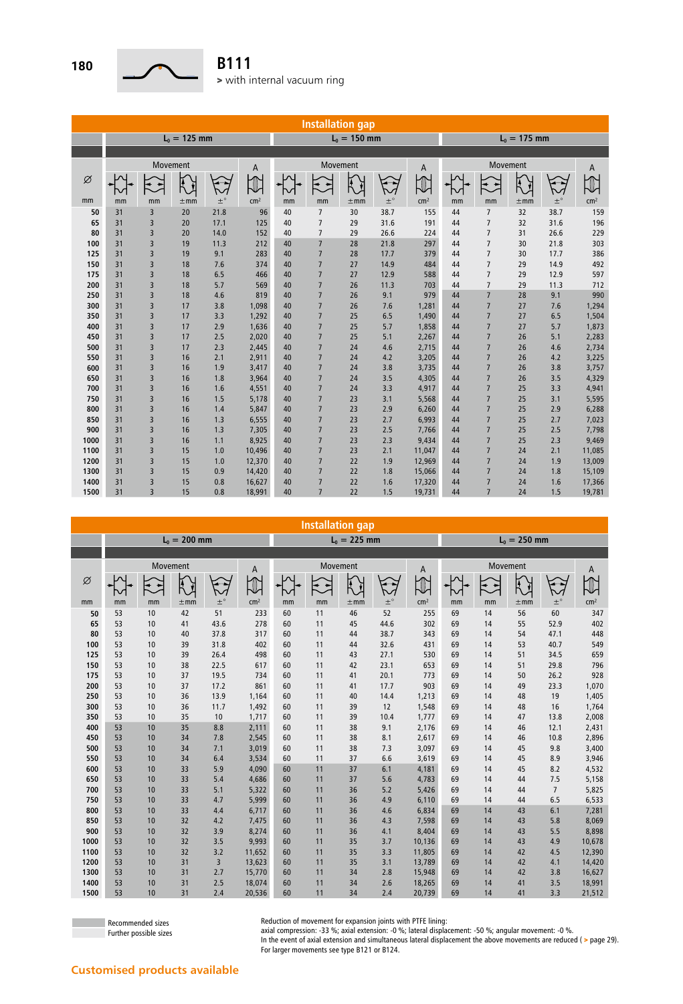

|      | <b>Installation gap</b> |                |                |         |                 |    |                 |                |             |                 |                |                |                |             |                 |
|------|-------------------------|----------------|----------------|---------|-----------------|----|-----------------|----------------|-------------|-----------------|----------------|----------------|----------------|-------------|-----------------|
|      |                         |                | $L_0 = 125$ mm |         |                 |    |                 | $L_0 = 150$ mm |             |                 | $L_0 = 175$ mm |                |                |             |                 |
|      |                         |                |                |         |                 |    |                 |                |             |                 |                |                |                |             |                 |
|      | Movement<br>A           |                |                |         |                 |    | Movement        |                |             |                 | Movement       |                |                |             |                 |
| Ø    |                         |                |                |         |                 | ∼  |                 | Ã              | $\sim$      | A               | ∿              | $\ddot{\sim}$  | $\overline{R}$ |             | A               |
| mm   | mm                      | mm             | $\pm$ mm       | $\pm$ ° | cm <sup>2</sup> | mm | mm              | $\pm$ mm       | $\pm^\circ$ | cm <sup>2</sup> | mm             | mm             | $\pm$ mm       | $\pm^\circ$ | cm <sup>2</sup> |
| 50   | 31                      | 3              | 20             | 21.8    | 96              | 40 | $\overline{7}$  | 30             | 38.7        | 155             | 44             | $\overline{7}$ | 32             | 38.7        | 159             |
| 65   | 31                      | 3              | 20             | 17.1    | 125             | 40 | $\overline{7}$  | 29             | 31.6        | 191             | 44             | $\overline{7}$ | 32             | 31.6        | 196             |
| 80   | 31                      | 3              | 20             | 14.0    | 152             | 40 | $\overline{7}$  | 29             | 26.6        | 224             | 44             | $\overline{7}$ | 31             | 26.6        | 229             |
| 100  | 31                      | 3              | 19             | 11.3    | 212             | 40 | $\overline{7}$  | 28             | 21.8        | 297             | 44             | $\overline{7}$ | 30             | 21.8        | 303             |
| 125  | 31                      | 3              | 19             | 9.1     | 283             | 40 | $\overline{7}$  | 28             | 17.7        | 379             | 44             | $\overline{7}$ | 30             | 17.7        | 386             |
| 150  | 31                      | 3              | 18             | 7.6     | 374             | 40 | $\overline{7}$  | 27             | 14.9        | 484             | 44             | $\overline{7}$ | 29             | 14.9        | 492             |
| 175  | 31                      | 3              | 18             | 6.5     | 466             | 40 | $\overline{7}$  | 27             | 12.9        | 588             | 44             | $\overline{7}$ | 29             | 12.9        | 597             |
| 200  | 31                      | 3              | 18             | 5.7     | 569             | 40 | $\overline{7}$  | 26             | 11.3        | 703             | 44             | $\overline{7}$ | 29             | 11.3        | 712             |
| 250  | 31                      | 3              | 18             | 4.6     | 819             | 40 | $\overline{7}$  | 26             | 9.1         | 979             | 44             | $\overline{7}$ | 28             | 9.1         | 990             |
| 300  | 31                      | 3              | 17             | 3.8     | 1,098           | 40 | $\overline{7}$  | 26             | 7.6         | 1,281           | 44             | $\overline{7}$ | 27             | 7.6         | 1,294           |
| 350  | 31                      | 3              | 17             | 3.3     | 1,292           | 40 | $\overline{7}$  | 25             | 6.5         | 1,490           | 44             | $\overline{7}$ | 27             | 6.5         | 1,504           |
| 400  | 31                      | 3              | 17             | 2.9     | 1,636           | 40 | $\overline{7}$  | 25             | 5.7         | 1,858           | 44             | $\overline{7}$ | 27             | 5.7         | 1,873           |
| 450  | 31                      | 3              | 17             | 2.5     | 2,020           | 40 | $\overline{7}$  | 25             | 5.1         | 2,267           | 44             | $\overline{7}$ | 26             | 5.1         | 2,283           |
| 500  | 31                      | 3              | 17             | 2.3     | 2,445           | 40 | $\overline{7}$  | 24             | 4.6         | 2,715           | 44             | $\overline{7}$ | 26             | 4.6         | 2,734           |
| 550  | 31                      | 3              | 16             | 2.1     | 2,911           | 40 | $\overline{7}$  | 24             | 4.2         | 3,205           | 44             | $\overline{7}$ | 26             | 4.2         | 3,225           |
| 600  | 31                      | 3              | 16             | 1.9     | 3,417           | 40 | $\overline{7}$  | 24             | 3.8         | 3,735           | 44             | $\overline{7}$ | 26             | 3.8         | 3,757           |
| 650  | 31                      | 3              | 16             | 1.8     | 3,964           | 40 | $\overline{7}$  | 24             | 3.5         | 4,305           | 44             | $\overline{7}$ | 26             | 3.5         | 4,329           |
| 700  | 31                      | 3              | 16             | 1.6     | 4,551           | 40 | $\overline{7}$  | 24             | 3.3         | 4,917           | 44             | $\overline{7}$ | 25             | 3.3         | 4,941           |
| 750  | 31                      | 3              | 16             | 1.5     | 5,178           | 40 | $\overline{7}$  | 23             | 3.1         | 5,568           | 44             | $\overline{7}$ | 25             | 3.1         | 5,595           |
| 800  | 31                      | 3              | 16             | 1.4     | 5,847           | 40 | $\overline{7}$  | 23             | 2.9         | 6,260           | 44             | $\overline{7}$ | 25             | 2.9         | 6,288           |
| 850  | 31                      | 3              | 16             | 1.3     | 6,555           | 40 | $\overline{7}$  | 23             | 2.7         | 6,993           | 44             | $\overline{7}$ | 25             | 2.7         | 7,023           |
| 900  | 31                      | 3              | 16             | 1.3     | 7,305           | 40 | $\overline{7}$  | 23             | 2.5         | 7,766           | 44             | $\overline{7}$ | 25             | 2.5         | 7,798           |
| 1000 | 31                      | 3              | 16             | 1.1     | 8,925           | 40 | $\overline{7}$  | 23             | 2.3         | 9,434           | 44             | $\overline{7}$ | 25             | 2.3         | 9,469           |
| 1100 | 31                      | 3              | 15             | 1.0     | 10,496          | 40 | $\overline{7}$  | 23             | 2.1         | 11,047          | 44             | $\overline{7}$ | 24             | 2.1         | 11,085          |
| 1200 | 31                      | 3              | 15             | 1.0     | 12,370          | 40 | $\overline{7}$  | 22             | 1.9         | 12,969          | 44             | $\overline{7}$ | 24             | 1.9         | 13,009          |
| 1300 | 31                      | 3              | 15             | 0.9     | 14,420          | 40 | $\overline{7}$  | 22             | 1.8         | 15,066          | 44             | $\overline{7}$ | 24             | 1.8         | 15,109          |
| 1400 | 31                      | 3              | 15             | 0.8     | 16,627          | 40 | $\overline{7}$  | 22             | 1.6         | 17,320          | 44             | $\overline{7}$ | 24             | 1.6         | 17,366          |
| 1500 | 31                      | $\overline{3}$ | 15             | 0.8     | 18,991          | 40 | $7\overline{ }$ | 22             | 1.5         | 19,731          | 44             | $\overline{7}$ | 24             | 1.5         | 19,781          |

| <b>Installation gap</b> |               |    |                |             |                 |                |          |          |               |                 |                |    |          |                |                 |
|-------------------------|---------------|----|----------------|-------------|-----------------|----------------|----------|----------|---------------|-----------------|----------------|----|----------|----------------|-----------------|
|                         |               |    | $L_0 = 200$ mm |             |                 | $L_0 = 225$ mm |          |          |               |                 | $L_0 = 250$ mm |    |          |                |                 |
|                         |               |    |                |             |                 |                |          |          |               |                 |                |    |          |                |                 |
|                         | Movement<br>A |    |                |             |                 |                | Movement |          | A             | Movement<br>A   |                |    |          |                |                 |
| Ø                       |               |    |                |             |                 |                |          |          |               |                 |                |    |          |                |                 |
| mm                      | mm            | mm | $\pm$ mm       | $\pm^\circ$ | cm <sup>2</sup> | mm             | mm       | $\pm$ mm | $\pm^{\circ}$ | cm <sup>2</sup> | mm             | mm | $\pm$ mm | $\pm^{\circ}$  | cm <sup>2</sup> |
| 50                      | 53            | 10 | 42             | 51          | 233             | 60             | 11       | 46       | 52            | 255             | 69             | 14 | 56       | 60             | 347             |
| 65                      | 53            | 10 | 41             | 43.6        | 278             | 60             | 11       | 45       | 44.6          | 302             | 69             | 14 | 55       | 52.9           | 402             |
| 80                      | 53            | 10 | 40             | 37.8        | 317             | 60             | 11       | 44       | 38.7          | 343             | 69             | 14 | 54       | 47.1           | 448             |
| 100                     | 53            | 10 | 39             | 31.8        | 402             | 60             | 11       | 44       | 32.6          | 431             | 69             | 14 | 53       | 40.7           | 549             |
| 125                     | 53            | 10 | 39             | 26.4        | 498             | 60             | 11       | 43       | 27.1          | 530             | 69             | 14 | 51       | 34.5           | 659             |
| 150                     | 53            | 10 | 38             | 22.5        | 617             | 60             | 11       | 42       | 23.1          | 653             | 69             | 14 | 51       | 29.8           | 796             |
| 175                     | 53            | 10 | 37             | 19.5        | 734             | 60             | 11       | 41       | 20.1          | 773             | 69             | 14 | 50       | 26.2           | 928             |
| 200                     | 53            | 10 | 37             | 17.2        | 861             | 60             | 11       | 41       | 17.7          | 903             | 69             | 14 | 49       | 23.3           | 1,070           |
| 250                     | 53            | 10 | 36             | 13.9        | 1,164           | 60             | 11       | 40       | 14.4          | 1,213           | 69             | 14 | 48       | 19             | 1,405           |
| 300                     | 53            | 10 | 36             | 11.7        | 1,492           | 60             | 11       | 39       | 12            | 1,548           | 69             | 14 | 48       | 16             | 1,764           |
| 350                     | 53            | 10 | 35             | 10          | 1,717           | 60             | 11       | 39       | 10.4          | 1,777           | 69             | 14 | 47       | 13.8           | 2,008           |
| 400                     | 53            | 10 | 35             | 8.8         | 2,111           | 60             | 11       | 38       | 9.1           | 2,176           | 69             | 14 | 46       | 12.1           | 2,431           |
| 450                     | 53            | 10 | 34             | 7.8         | 2,545           | 60             | 11       | 38       | 8.1           | 2,617           | 69             | 14 | 46       | 10.8           | 2,896           |
| 500                     | 53            | 10 | 34             | 7.1         | 3.019           | 60             | 11       | 38       | 7.3           | 3,097           | 69             | 14 | 45       | 9.8            | 3,400           |
| 550                     | 53            | 10 | 34             | 6.4         | 3,534           | 60             | 11       | 37       | 6.6           | 3,619           | 69             | 14 | 45       | 8.9            | 3,946           |
| 600                     | 53            | 10 | 33             | 5.9         | 4,090           | 60             | 11       | 37       | 6.1           | 4,181           | 69             | 14 | 45       | 8.2            | 4,532           |
| 650                     | 53            | 10 | 33             | 5.4         | 4,686           | 60             | 11       | 37       | 5.6           | 4,783           | 69             | 14 | 44       | 7.5            | 5,158           |
| 700                     | 53            | 10 | 33             | 5.1         | 5,322           | 60             | 11       | 36       | 5.2           | 5,426           | 69             | 14 | 44       | $\overline{7}$ | 5,825           |
| 750                     | 53            | 10 | 33             | 4.7         | 5,999           | 60             | 11       | 36       | 4.9           | 6,110           | 69             | 14 | 44       | 6.5            | 6,533           |
| 800                     | 53            | 10 | 33             | 4.4         | 6,717           | 60             | 11       | 36       | 4.6           | 6,834           | 69             | 14 | 43       | 6.1            | 7,281           |
| 850                     | 53            | 10 | 32             | 4.2         | 7.475           | 60             | 11       | 36       | 4.3           | 7,598           | 69             | 14 | 43       | 5.8            | 8,069           |
| 900                     | 53            | 10 | 32             | 3.9         | 8,274           | 60             | 11       | 36       | 4.1           | 8,404           | 69             | 14 | 43       | 5.5            | 8,898           |
| 1000                    | 53            | 10 | 32             | 3.5         | 9,993           | 60             | 11       | 35       | 3.7           | 10,136          | 69             | 14 | 43       | 4.9            | 10,678          |
| 1100                    | 53            | 10 | 32             | 3.2         | 11,652          | 60             | 11       | 35       | 3.3           | 11,805          | 69             | 14 | 42       | 4.5            | 12,390          |
| 1200                    | 53            | 10 | 31             | 3           | 13,623          | 60             | 11       | 35       | 3.1           | 13,789          | 69             | 14 | 42       | 4.1            | 14,420          |
| 1300                    | 53            | 10 | 31             | 2.7         | 15,770          | 60             | 11       | 34       | 2.8           | 15,948          | 69             | 14 | 42       | 3.8            | 16,627          |
| 1400                    | 53            | 10 | 31             | 2.5         | 18,074          | 60             | 11       | 34       | 2.6           | 18,265          | 69             | 14 | 41       | 3.5            | 18,991          |
| 1500                    | 53            | 10 | 31             | 2.4         | 20,536          | 60             | 11       | 34       | 2.4           | 20,739          | 69             | 14 | 41       | 3.3            | 21,512          |

Recommended sizes Further possible sizes Reduction of movement for expansion joints with PTFE lining:

axial compression: -33 %; axial extension: -0 %; lateral displacement: -50 %; angular movement: -0 %.

In the event of axial extension and simultaneous lateral displacement the above movements are reduced ( $>$  page 29). For larger movements see type B121 or B124.